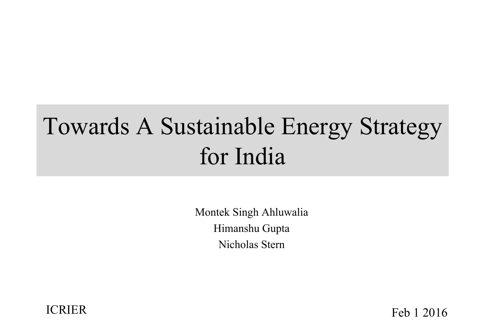# Towards A Sustainable Energy Strategy for India

Montek Singh Ahluwalia Himanshu Gupta Nicholas Stern



ICRIER Feb 1 2016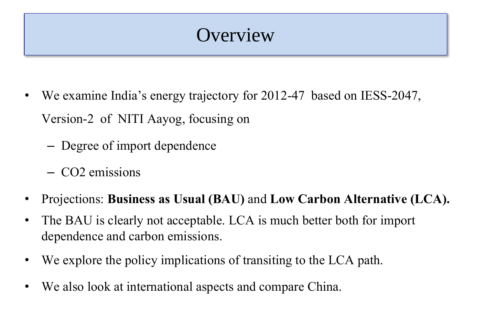### **Overview**

- We examine India's energy trajectory for 2012-47 based on IESS-2047, Version-2 of NITI Aayog, focusing on
	- Degree of import dependence
	- CO2 emissions
- Projections: **Business as Usual (BAU)** and **Low Carbon Alternative (LCA).**
- The BAU is clearly not acceptable. LCA is much better both for import dependence and carbon emissions.
- We explore the policy implications of transiting to the LCA path.
- We also look at international aspects and compare China.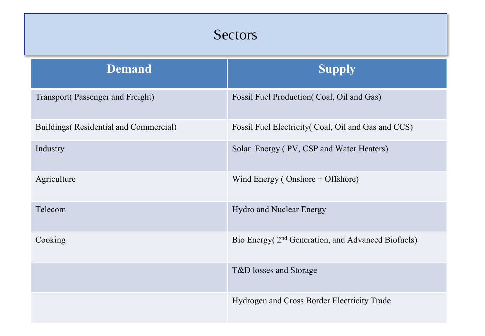| <b>Sectors</b>                         |                                                                |  |  |
|----------------------------------------|----------------------------------------------------------------|--|--|
| <b>Demand</b>                          | <b>Supply</b>                                                  |  |  |
| Transport(Passenger and Freight)       | Fossil Fuel Production (Coal, Oil and Gas)                     |  |  |
| Buildings (Residential and Commercial) | Fossil Fuel Electricity (Coal, Oil and Gas and CCS)            |  |  |
| Industry                               | Solar Energy (PV, CSP and Water Heaters)                       |  |  |
| Agriculture                            | Wind Energy (Onshore + Offshore)                               |  |  |
| Telecom                                | Hydro and Nuclear Energy                                       |  |  |
| Cooking                                | Bio Energy (2 <sup>nd</sup> Generation, and Advanced Biofuels) |  |  |
|                                        | T&D losses and Storage                                         |  |  |
|                                        | Hydrogen and Cross Border Electricity Trade                    |  |  |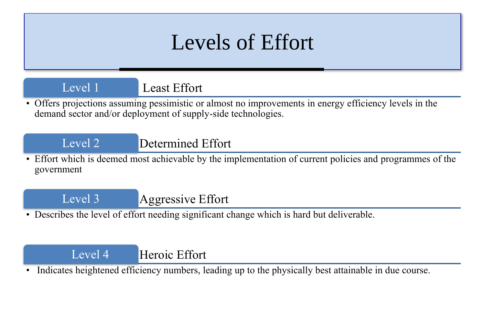## Levels of Effort

Level 1 Least Effort

• Offers projections assuming pessimistic or almost no improvements in energy efficiency levels in the demand sector and/or deployment of supply-side technologies.

Level 2 Determined Effort

• Effort which is deemed most achievable by the implementation of current policies and programmes of the government

Level 3 **Aggressive Effort** 

• Describes the level of effort needing significant change which is hard but deliverable.

#### Level 4 Heroic Effort

Indicates heightened efficiency numbers, leading up to the physically best attainable in due course.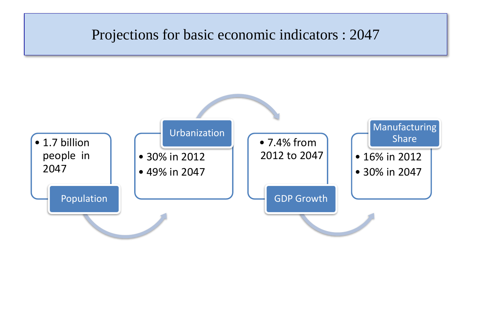#### Projections for basic economic indicators : 2047

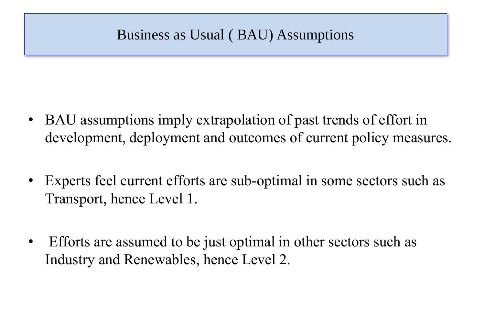### Business as Usual ( BAU) Assumptions

- BAU assumptions imply extrapolation of past trends of effort in development, deployment and outcomes of current policy measures.
- Experts feel current efforts are sub-optimal in some sectors such as Transport, hence Level 1.
- Efforts are assumed to be just optimal in other sectors such as Industry and Renewables, hence Level 2.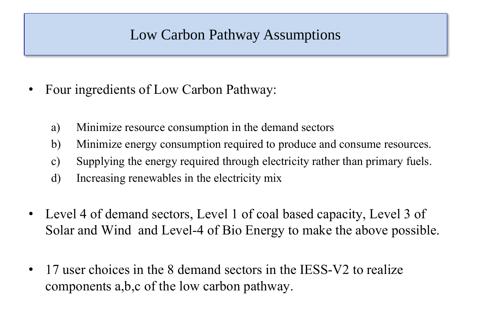### Low Carbon Pathway Assumptions

- Four ingredients of Low Carbon Pathway:
	- a) Minimize resource consumption in the demand sectors
	- b) Minimize energy consumption required to produce and consume resources.
	- c) Supplying the energy required through electricity rather than primary fuels.
	- d) Increasing renewables in the electricity mix
- Level 4 of demand sectors, Level 1 of coal based capacity, Level 3 of Solar and Wind and Level-4 of Bio Energy to make the above possible.
- 17 user choices in the 8 demand sectors in the IESS-V2 to realize components a,b,c of the low carbon pathway.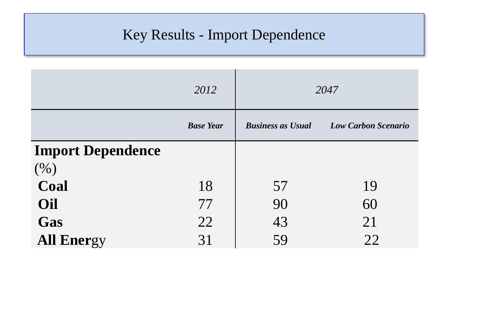### Key Results - Import Dependence

|                          | 2012             |                          | 2047                       |
|--------------------------|------------------|--------------------------|----------------------------|
|                          | <b>Base Year</b> | <b>Business as Usual</b> | <b>Low Carbon Scenario</b> |
| <b>Import Dependence</b> |                  |                          |                            |
| (%)                      |                  |                          |                            |
| Coal                     | 18               | 57                       | 19                         |
| Oil                      | 77               | 90                       | 60                         |
| Gas                      | 22               | 43                       | 21                         |
| <b>All Energy</b>        | 31               | 59                       | 22                         |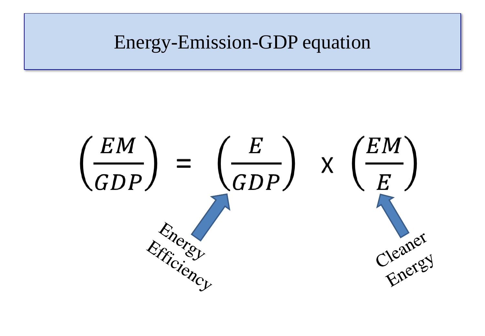### Energy-Emission-GDP equation

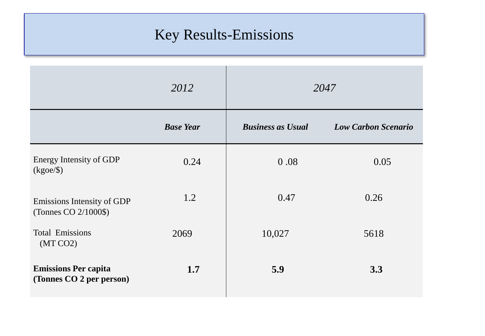### Key Results-Emissions

|                                                         | 2012             |                          | 2047                       |
|---------------------------------------------------------|------------------|--------------------------|----------------------------|
|                                                         | <b>Base Year</b> | <b>Business as Usual</b> | <b>Low Carbon Scenario</b> |
| <b>Energy Intensity of GDP</b><br>$(kgoe/\$             | 0.24             | 0.08                     | 0.05                       |
| Emissions Intensity of GDP<br>(Tonnes CO 2/1000\$)      | 1.2              | 0.47                     | 0.26                       |
| <b>Total Emissions</b><br>(MT CO2)                      | 2069             | 10,027                   | 5618                       |
| <b>Emissions Per capita</b><br>(Tonnes CO 2 per person) | 1.7              | 5.9                      | 3.3                        |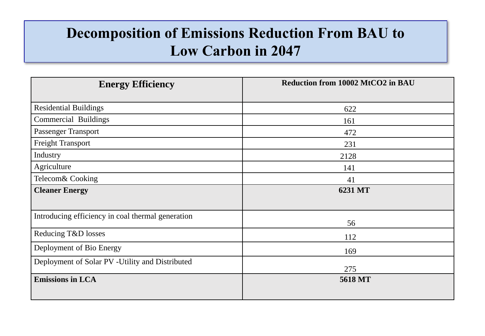### **Decomposition of Emissions Reduction From BAU to Low Carbon in 2047**

| <b>Energy Efficiency</b>                          | Reduction from 10002 MtCO2 in BAU |
|---------------------------------------------------|-----------------------------------|
|                                                   |                                   |
| <b>Residential Buildings</b>                      | 622                               |
| Commercial Buildings                              | 161                               |
| <b>Passenger Transport</b>                        | 472                               |
| <b>Freight Transport</b>                          | 231                               |
| Industry                                          | 2128                              |
| Agriculture                                       | 141                               |
| Telecom& Cooking                                  | 41                                |
| <b>Cleaner Energy</b>                             | 6231 MT                           |
|                                                   |                                   |
| Introducing efficiency in coal thermal generation |                                   |
|                                                   | 56                                |
| Reducing T&D losses                               | 112                               |
| Deployment of Bio Energy                          | 169                               |
| Deployment of Solar PV - Utility and Distributed  |                                   |
|                                                   | 275                               |
| <b>Emissions in LCA</b>                           | 5618 MT                           |
|                                                   |                                   |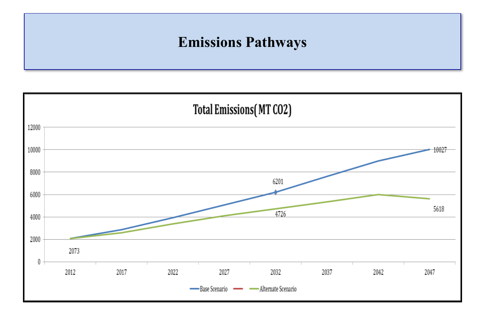### **Emissions Pathways**

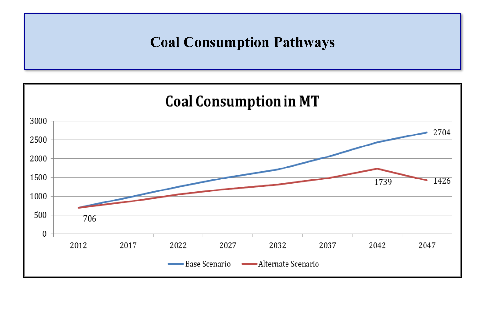### **Coal Consumption Pathways**

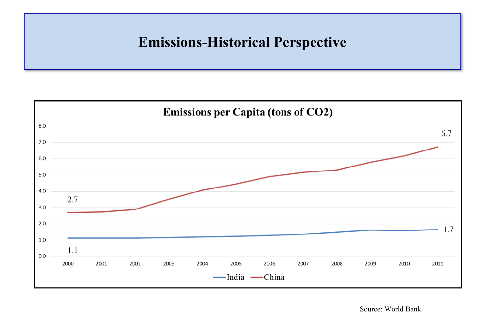### **Emissions-Historical Perspective**



Source: World Bank